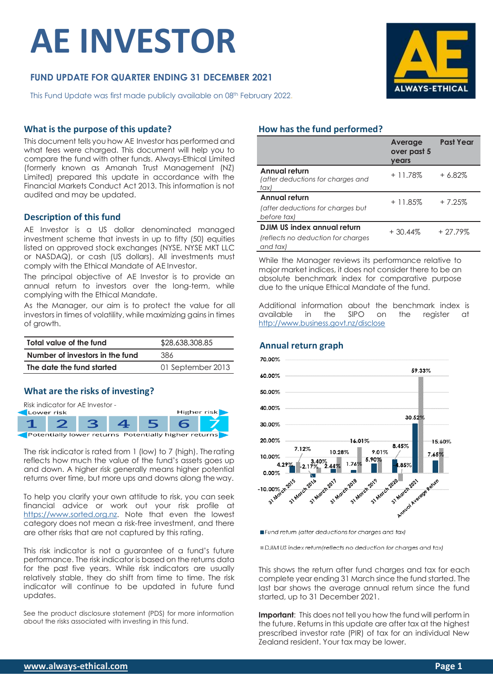# **AE INVESTOR**

# **FUND UPDATE FOR QUARTER ENDING 31 DECEMBER 2021**

This Fund Update was first made publicly available on 08<sup>th</sup> February 2022.

# **ALWAYS-ETHICAI**

#### **What is the purpose of this update?**

This document tells you how AE Investor has performed and what fees were charged. This document will help you to compare the fund with other funds. Always-Ethical Limited (formerly known as Amanah Trust Management (NZ) Limited) prepared this update in accordance with the Financial Markets Conduct Act 2013. This information is not audited and may be updated.

#### **Description of this fund**

AE Investor is a US dollar denominated managed investment scheme that invests in up to fifty (50) equities listed on approved stock exchanges (NYSE, NYSE MKT LLC or NASDAQ), or cash (US dollars). All investments must comply with the Ethical Mandate of AE Investor.

The principal objective of AE Investor is to provide an annual return to investors over the long-term, while complying with the Ethical Mandate.

As the Manager, our aim is to protect the value for all investors in times of volatility, while maximizing gains in times of growth.

| Total value of the fund         | \$28,638,308.85   |  |
|---------------------------------|-------------------|--|
| Number of investors in the fund | 386               |  |
| The date the fund started       | 01 September 2013 |  |

#### **What are the risks of investing?**



The risk indicator is rated from 1 (low) to 7 (high). Therating reflects how much the value of the fund's assets goes up and down. A higher risk generally means higher potential returns over time, but more ups and downs along the way.

To help you clarify your own attitude to risk, you can seek financial advice or work out your risk profile at [https://www.sorted.org.nz.](https://www.sorted.org.nz/guides/kiwisaver-which-fund-suits) Note that even the lowest category does not mean a risk-free investment, and there are other risks that are not captured by this rating.

This risk indicator is not a guarantee of a fund's future performance. The risk indicator is based on the returns data for the past five years. While risk indicators are usually relatively stable, they do shift from time to time. The risk indicator will continue to be updated in future fund updates.

See the product disclosure statement (PDS) for more information about the risks associated with investing in this fund.

#### **How has the fund performed?**

|                                                                               | Average<br>over past 5<br>years | <b>Past Year</b> |
|-------------------------------------------------------------------------------|---------------------------------|------------------|
| Annual return<br>(after deductions for charges and<br>tax)                    | $+11.78\%$                      | $+6.82%$         |
| Annual return<br>(after deductions for charges but<br>before tax)             | $+11.85%$                       | $+7.25%$         |
| DJIM US index annual return<br>(reflects no deduction for charges<br>and tax) | $+30.44\%$                      | $+27.79%$        |

While the Manager reviews its performance relative to major market indices, it does not consider there to be an absolute benchmark index for comparative purpose due to the unique Ethical Mandate of the fund.

Additional information about the benchmark index is available in the SIPO on the register at <http://www.business.govt.nz/disclose>



Fund return (after deductions for charges and tax)

DJIM US index return (reflects no deduction for charges and tax)

This shows the return after fund charges and tax for each complete year ending 31 March since the fund started. The last bar shows the average annual return since the fund started, up to 31 December 2021.

**Important:** This does not tell you how the fund will perform in the future. Returns in this update are after tax at the highest prescribed investor rate (PIR) of tax for an individual New Zealand resident. Your tax may be lower.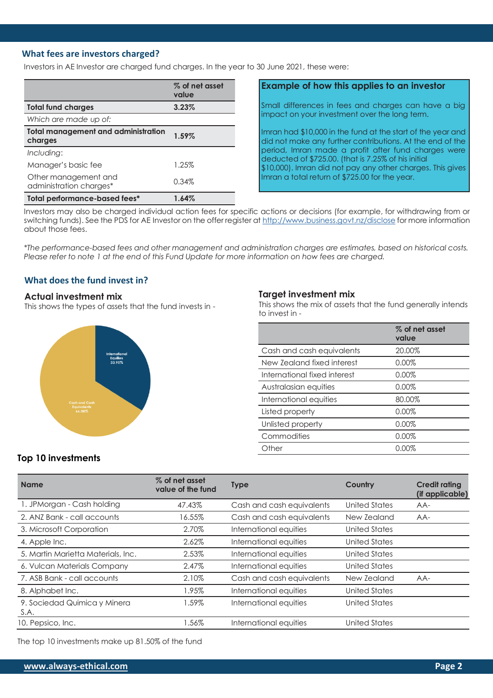#### **What fees are investors charged?**

Investors in AE Investor are charged fund charges. In the year to 30 June 2021, these were:

|                                                       | % of net asset<br>value |
|-------------------------------------------------------|-------------------------|
| <b>Total fund charges</b>                             | 3.23%                   |
| Which are made up of:                                 |                         |
| <b>Total management and administration</b><br>charges | 1.59%                   |
| Including:                                            |                         |
| Manager's basic fee                                   | 1.25%                   |
| Other management and<br>administration charges*       | 0.34%                   |
| Total performance-based fees*                         | 1.64%                   |

#### **Example of how this applies to an investor**

Small differences in fees and charges can have a big impact on your investment over the long term.

Imran had \$10,000 in the fund at the start of the year and did not make any further contributions. At the end of the period, Imran made a profit after fund charges were deducted of \$725.00. (that is 7.25% of his initial \$10,000). Imran did not pay any other charges. This gives Imran a total return of \$725.00 for the year.

Investors may also be charged individual action fees for specific actions or decisions (for example, for withdrawing from or switching funds). See the PDS for AE Investor on the offer register at <http://www.business.govt.nz/disclose> for more information about those fees.

*\*The performance-based fees and other management and administration charges are estimates, based on historical costs. Please refer to note 1 at the end of this Fund Update for more information on how fees are charged.*

## **What does the fund invest in?**

#### **Actual investment mix**

This shows the types of assets that the fund invests in -



#### **Target investment mix**

This shows the mix of assets that the fund generally intends to invest in -

|                              | % of net asset<br>value |
|------------------------------|-------------------------|
| Cash and cash equivalents    | 20.00%                  |
| New Zealand fixed interest   | $0.00\%$                |
| International fixed interest | $0.00\%$                |
| Australasian equities        | 0.00%                   |
| International equities       | 80.00%                  |
| Listed property              | $0.00\%$                |
| Unlisted property            | $0.00\%$                |
| Commodities                  | $0.00\%$                |
| Other                        | 0.00%                   |
|                              |                         |

#### **Top 10 investments**

| <b>Name</b>                          | % of net asset<br>value of the fund | <b>Type</b>               | Country       | <b>Credit rating</b><br>(if applicable) |
|--------------------------------------|-------------------------------------|---------------------------|---------------|-----------------------------------------|
| 1. JPMorgan - Cash holding           | 47.43%                              | Cash and cash equivalents | United States | AA-                                     |
| 2. ANZ Bank - call accounts          | 16.55%                              | Cash and cash equivalents | New Zealand   | $AA-$                                   |
| 3. Microsoft Corporation             | 2.70%                               | International equities    | United States |                                         |
| 4. Apple Inc.                        | 2.62%                               | International equities    | United States |                                         |
| 5. Martin Marietta Materials, Inc.   | 2.53%                               | International equities    | United States |                                         |
| 6. Vulcan Materials Company          | 2.47%                               | International equities    | United States |                                         |
| 7. ASB Bank - call accounts          | 2.10%                               | Cash and cash equivalents | New Zealand   | $AA-$                                   |
| 8. Alphabet Inc.                     | 1.95%                               | International equities    | United States |                                         |
| 9. Sociedad Quimica y Minera<br>S.A. | 1.59%                               | International equities    | United States |                                         |
| 10. Pepsico, Inc.                    | 1.56%                               | International equities    | United States |                                         |

The top 10 investments make up 81.50% of the fund